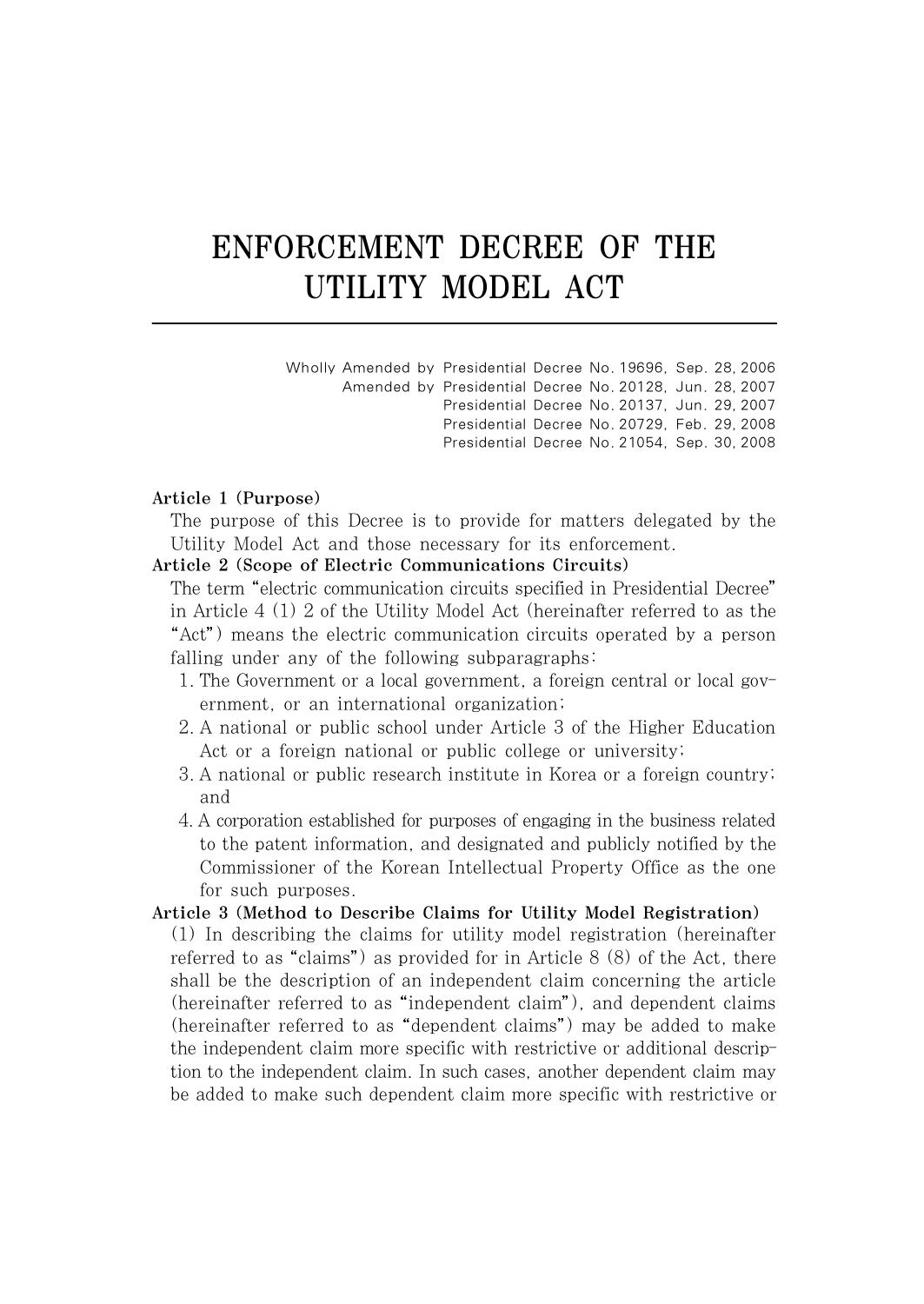# ENFORCEMENT DECREE OF THE UTILITY MODEL ACT

| Wholly Amended by Presidential Decree No. 19696. Sep. 28, 2006 |                                                         |  |  |  |
|----------------------------------------------------------------|---------------------------------------------------------|--|--|--|
|                                                                | Amended by Presidential Decree No. 20128. Jun. 28, 2007 |  |  |  |
|                                                                | Presidential Decree No. 20137. Jun. 29. 2007            |  |  |  |
|                                                                | Presidential Decree No. 20729. Feb. 29, 2008            |  |  |  |
|                                                                | Presidential Decree No. 21054, Sep. 30, 2008            |  |  |  |

## Article 1 (Purpose)

The purpose of this Decree is to provide for matters delegated by the Utility Model Act and those necessary for its enforcement.

## Article 2 (Scope of Electric Communications Circuits)

The term "electric communication circuits specified in Presidential Decree" in Article 4 (1) 2 of the Utility Model Act (hereinafter referred to as the "Act") means the electric communication circuits operated by a person falling under any of the following subparagraphs:

- 1. The Government or a local government, a foreign central or local government, or an international organization;
- 2. A national or public school under Article 3 of the Higher Education Act or a foreign national or public college or university;
- 3. A national or public research institute in Korea or a foreign country; and
- 4. A corporation established for purposes of engaging in the business related to the patent information, and designated and publicly notified by the Commissioner of the Korean Intellectual Property Office as the one for such purposes.

## Article 3 (Method to Describe Claims for Utility Model Registration)

(1) In describing the claims for utility model registration (hereinafter referred to as "claims") as provided for in Article  $8(8)$  of the Act, there shall be the description of an independent claim concerning the article (hereinafter referred to as "independent claim"), and dependent claims (hereinafter referred to as "dependent claims") may be added to make the independent claim more specific with restrictive or additional description to the independent claim. In such cases, another dependent claim may be added to make such dependent claim more specific with restrictive or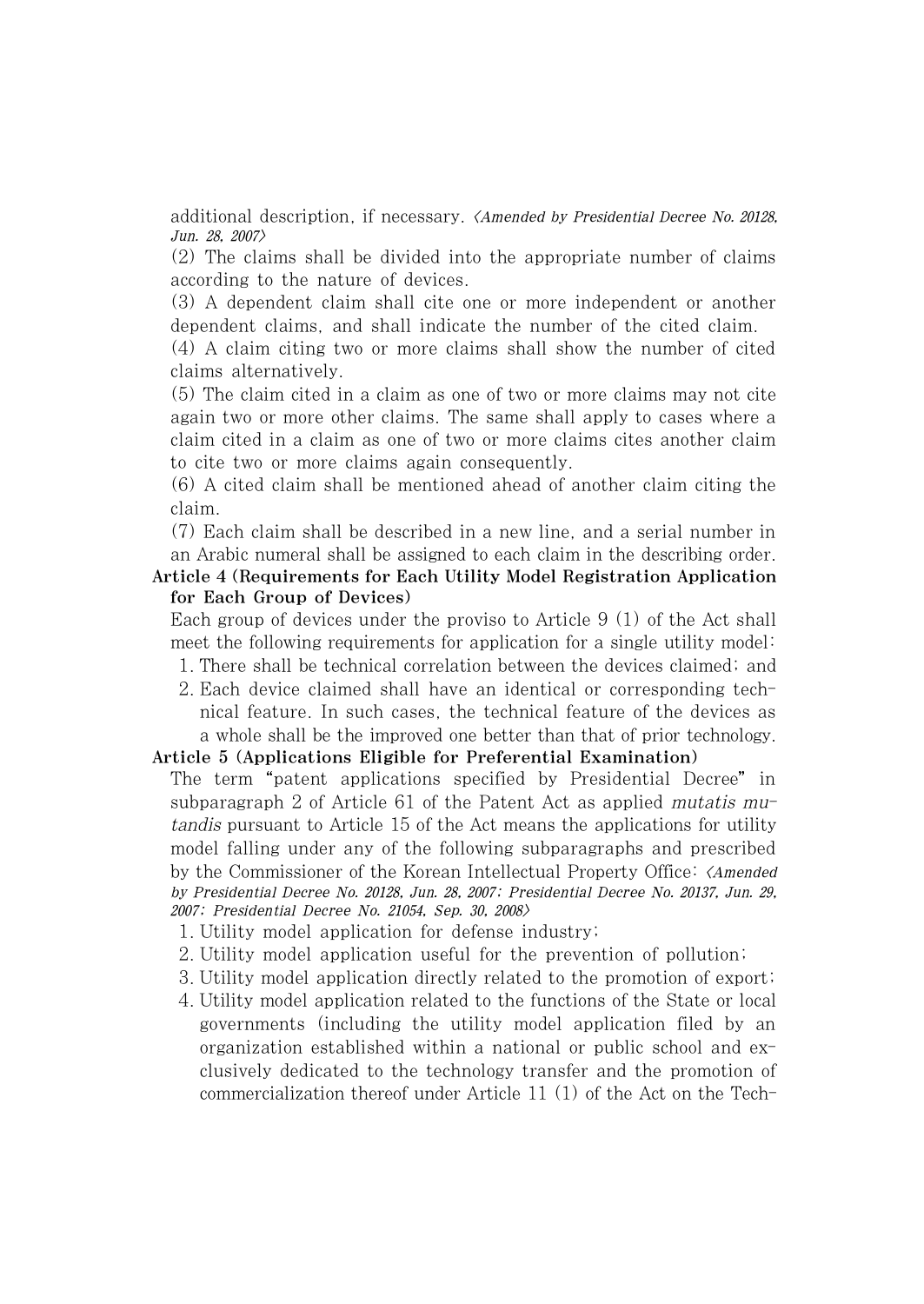additional description, if necessary. <Amended by Presidential Decree No. 20128, Jun. 28, 2007>

(2) The claims shall be divided into the appropriate number of claims according to the nature of devices.

(3) A dependent claim shall cite one or more independent or another dependent claims, and shall indicate the number of the cited claim.

(4) A claim citing two or more claims shall show the number of cited claims alternatively.

(5) The claim cited in a claim as one of two or more claims may not cite again two or more other claims. The same shall apply to cases where a claim cited in a claim as one of two or more claims cites another claim to cite two or more claims again consequently.

(6) A cited claim shall be mentioned ahead of another claim citing the claim.

(7) Each claim shall be described in a new line, and a serial number in an Arabic numeral shall be assigned to each claim in the describing order.

Article 4 (Requirements for Each Utility Model Registration Application for Each Group of Devices)

Each group of devices under the proviso to Article 9 (1) of the Act shall meet the following requirements for application for a single utility model:

- 1. There shall be technical correlation between the devices claimed; and
- 2. Each device claimed shall have an identical or corresponding technical feature. In such cases, the technical feature of the devices as a whole shall be the improved one better than that of prior technology.

# Article 5 (Applications Eligible for Preferential Examination)

The term "patent applications specified by Presidential Decree" in subparagraph 2 of Article 61 of the Patent Act as applied mutatis mutandis pursuant to Article 15 of the Act means the applications for utility model falling under any of the following subparagraphs and prescribed by the Commissioner of the Korean Intellectual Property Office: *(Amended*) by Presidential Decree No. 20128, Jun. 28, 2007; Presidential Decree No. 20137, Jun. 29, 2007; Presidential Decree No. 21054, Sep. 30, 2008>

1. Utility model application for defense industry;

- 2. Utility model application useful for the prevention of pollution;
- 3. Utility model application directly related to the promotion of export;
- 4. Utility model application related to the functions of the State or local governments (including the utility model application filed by an organization established within a national or public school and exclusively dedicated to the technology transfer and the promotion of commercialization thereof under Article 11 (1) of the Act on the Tech-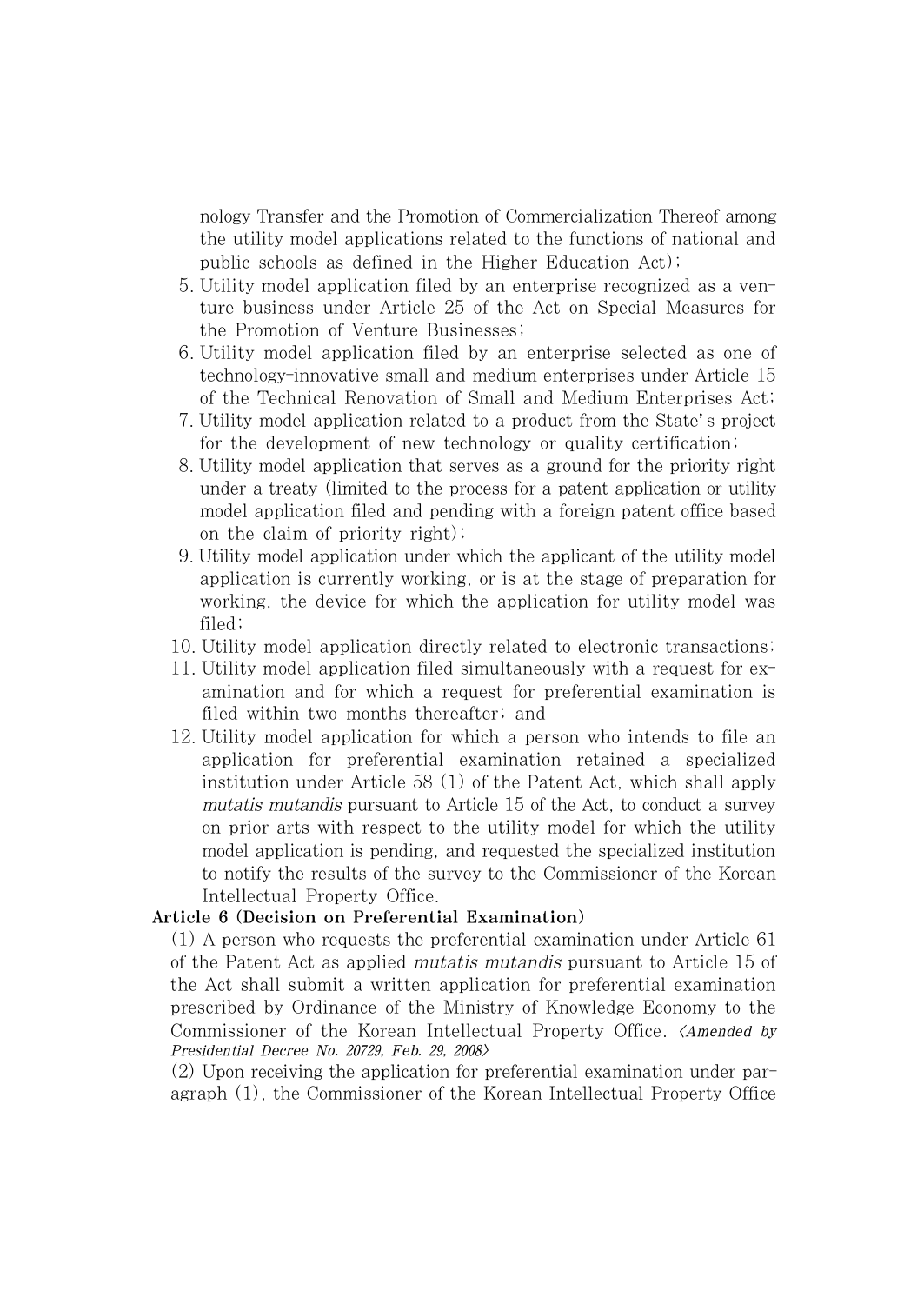nology Transfer and the Promotion of Commercialization Thereof among the utility model applications related to the functions of national and public schools as defined in the Higher Education Act);

- 5. Utility model application filed by an enterprise recognized as a venture business under Article 25 of the Act on Special Measures for the Promotion of Venture Businesses;
- 6. Utility model application filed by an enterprise selected as one of technology-innovative small and medium enterprises under Article 15 of the Technical Renovation of Small and Medium Enterprises Act;
- 7. Utility model application related to a product from the State's project for the development of new technology or quality certification;
- 8. Utility model application that serves as a ground for the priority right under a treaty (limited to the process for a patent application or utility model application filed and pending with a foreign patent office based on the claim of priority right);
- 9. Utility model application under which the applicant of the utility model application is currently working, or is at the stage of preparation for working, the device for which the application for utility model was filed;
- 10. Utility model application directly related to electronic transactions;
- 11. Utility model application filed simultaneously with a request for examination and for which a request for preferential examination is filed within two months thereafter; and
- 12. Utility model application for which a person who intends to file an application for preferential examination retained a specialized institution under Article 58 (1) of the Patent Act, which shall apply mutatis mutandis pursuant to Article 15 of the Act, to conduct a survey on prior arts with respect to the utility model for which the utility model application is pending, and requested the specialized institution to notify the results of the survey to the Commissioner of the Korean Intellectual Property Office.

# Article 6 (Decision on Preferential Examination)

(1) A person who requests the preferential examination under Article 61 of the Patent Act as applied mutatis mutandis pursuant to Article 15 of the Act shall submit a written application for preferential examination prescribed by Ordinance of the Ministry of Knowledge Economy to the Commissioner of the Korean Intellectual Property Office. <Amended by Presidential Decree No. 20729, Feb. 29, 2008>

(2) Upon receiving the application for preferential examination under paragraph (1), the Commissioner of the Korean Intellectual Property Office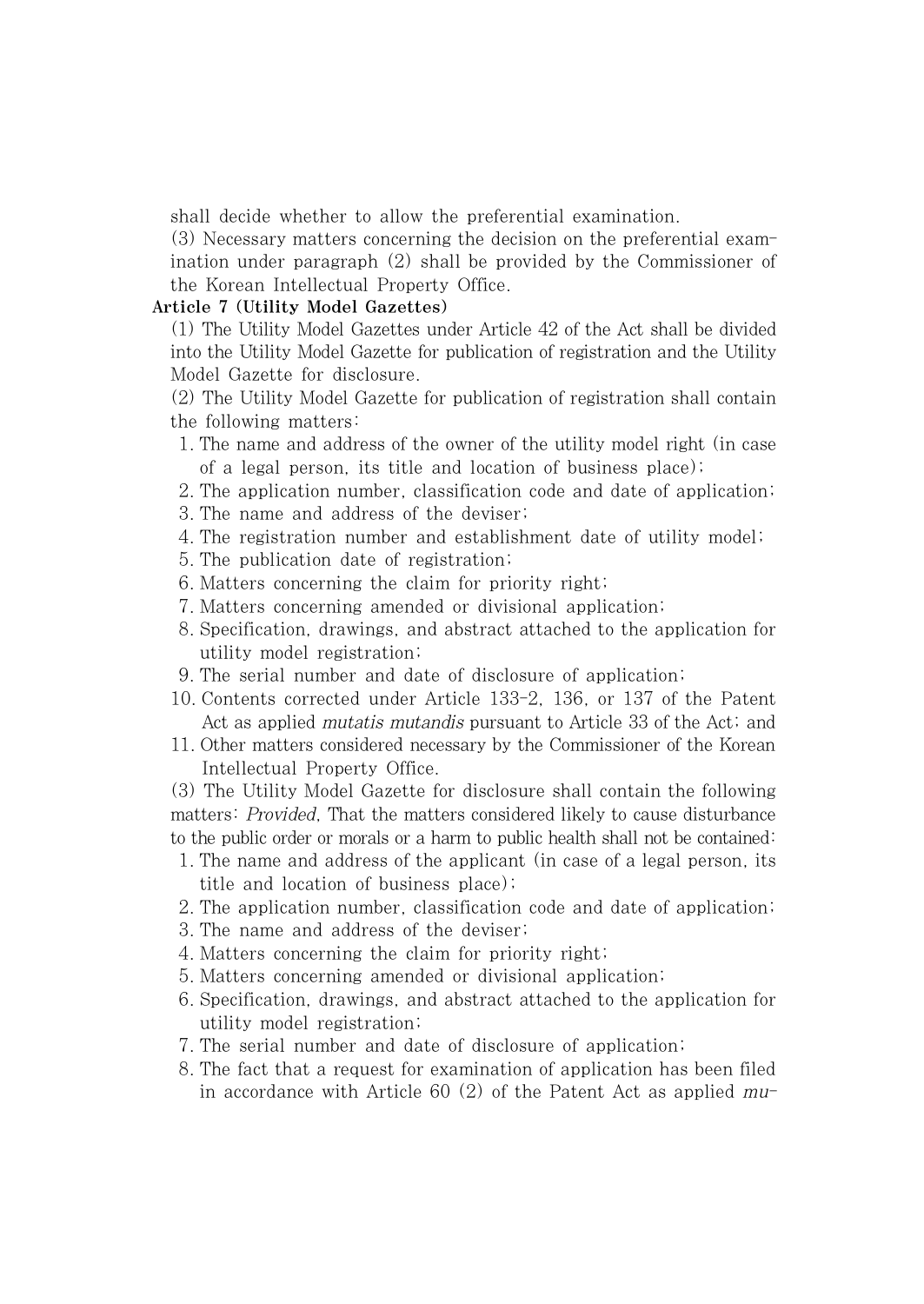shall decide whether to allow the preferential examination.

(3) Necessary matters concerning the decision on the preferential examination under paragraph (2) shall be provided by the Commissioner of the Korean Intellectual Property Office.

## Article 7 (Utility Model Gazettes)

(1) The Utility Model Gazettes under Article 42 of the Act shall be divided into the Utility Model Gazette for publication of registration and the Utility Model Gazette for disclosure.

(2) The Utility Model Gazette for publication of registration shall contain the following matters:

- 1. The name and address of the owner of the utility model right (in case of a legal person, its title and location of business place);
- 2. The application number, classification code and date of application;
- 3. The name and address of the deviser;
- 4. The registration number and establishment date of utility model;
- 5. The publication date of registration;
- 6. Matters concerning the claim for priority right;
- 7. Matters concerning amended or divisional application;
- 8. Specification, drawings, and abstract attached to the application for utility model registration;
- 9. The serial number and date of disclosure of application;
- 10. Contents corrected under Article 133-2, 136, or 137 of the Patent Act as applied mutatis mutandis pursuant to Article 33 of the Act; and
- 11. Other matters considered necessary by the Commissioner of the Korean Intellectual Property Office.

(3) The Utility Model Gazette for disclosure shall contain the following matters: Provided, That the matters considered likely to cause disturbance to the public order or morals or a harm to public health shall not be contained:

- 1. The name and address of the applicant (in case of a legal person, its title and location of business place);
- 2. The application number, classification code and date of application;
- 3. The name and address of the deviser;
- 4. Matters concerning the claim for priority right;
- 5. Matters concerning amended or divisional application;
- 6. Specification, drawings, and abstract attached to the application for utility model registration;
- 7. The serial number and date of disclosure of application;
- 8. The fact that a request for examination of application has been filed in accordance with Article  $60(2)$  of the Patent Act as applied  $mu$ -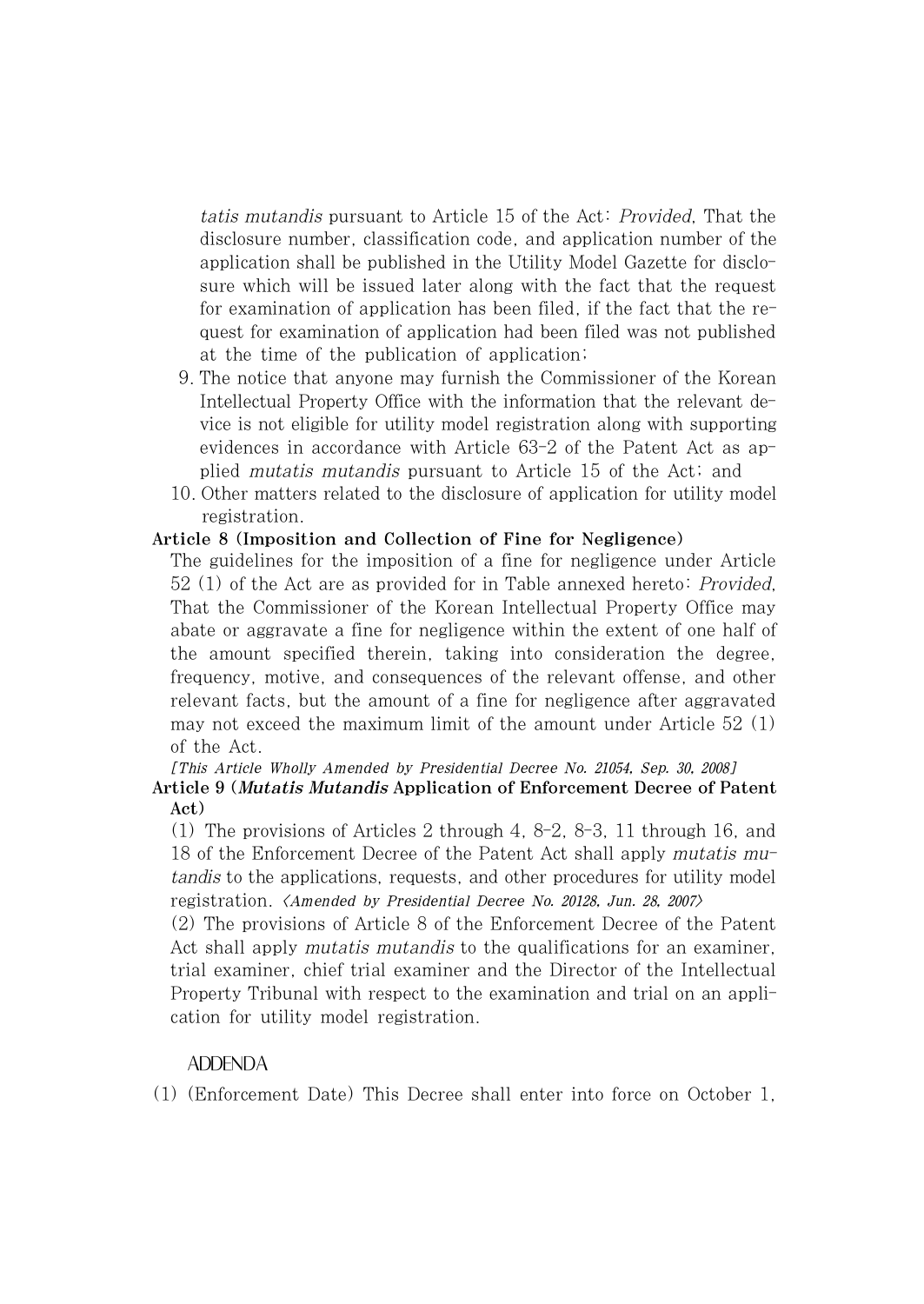tatis mutandis pursuant to Article 15 of the Act: Provided, That the disclosure number, classification code, and application number of the application shall be published in the Utility Model Gazette for disclosure which will be issued later along with the fact that the request for examination of application has been filed, if the fact that the request for examination of application had been filed was not published at the time of the publication of application;

- 9. The notice that anyone may furnish the Commissioner of the Korean Intellectual Property Office with the information that the relevant device is not eligible for utility model registration along with supporting evidences in accordance with Article 63-2 of the Patent Act as applied mutatis mutandis pursuant to Article 15 of the Act; and
- 10. Other matters related to the disclosure of application for utility model registration.

# Article 8 (Imposition and Collection of Fine for Negligence)

The guidelines for the imposition of a fine for negligence under Article 52 (1) of the Act are as provided for in Table annexed hereto: Provided, That the Commissioner of the Korean Intellectual Property Office may abate or aggravate a fine for negligence within the extent of one half of the amount specified therein, taking into consideration the degree, frequency, motive, and consequences of the relevant offense, and other relevant facts, but the amount of a fine for negligence after aggravated may not exceed the maximum limit of the amount under Article 52 (1) of the Act.

[This Article Wholly Amended by Presidential Decree No. 21054, Sep. 30, 2008] Article 9 (Mutatis Mutandis Application of Enforcement Decree of Patent Act)

(1) The provisions of Articles 2 through 4, 8-2, 8-3, 11 through 16, and 18 of the Enforcement Decree of the Patent Act shall apply mutatis mutandis to the applications, requests, and other procedures for utility model registration. <Amended by Presidential Decree No. 20128, Jun. 28, 2007>

(2) The provisions of Article 8 of the Enforcement Decree of the Patent Act shall apply *mutatis mutandis* to the qualifications for an examiner. trial examiner, chief trial examiner and the Director of the Intellectual Property Tribunal with respect to the examination and trial on an application for utility model registration.

# ADDENDA

(1) (Enforcement Date) This Decree shall enter into force on October 1,